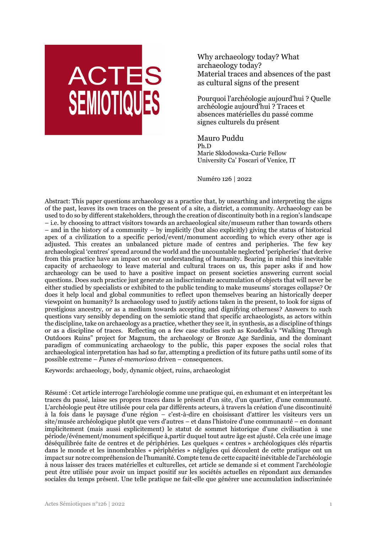

Why archaeology today? What archaeology today? Material traces and absences of the past as cultural signs of the present

Pourquoi l'archéologie aujourd'hui ? Quelle archéologie aujourd'hui ? Traces et absences matérielles du passé comme signes culturels du présent

Mauro Puddu Ph.D Marie Skłodowska-Curie Fellow University Ca' Foscari of Venice, IT

Numéro 126 | 2022

Abstract: This paper questions archaeology as a practice that, by unearthing and interpreting the signs of the past, leaves its own traces on the present of a site, a district, a community. Archaeology can be used to do so by different stakeholders, through the creation of discontinuity both in a region's landscape – i.e. by choosing to attract visitors towards an archaeological site/museum rather than towards others – and in the history of a community – by implicitly (but also explicitly) giving the status of historical apex of a civilization to a specific period/event/monument according to which every other age is adjusted. This creates an unbalanced picture made of centres and peripheries. The few key archaeological 'centres' spread around the world and the uncountable neglected 'peripheries' that derive from this practice have an impact on our understanding of humanity. Bearing in mind this inevitable capacity of archaeology to leave material and cultural traces on us, this paper asks if and how archaeology can be used to have a positive impact on present societies answering current social questions. Does such practice just generate an indiscriminate accumulation of objects that will never be either studied by specialists or exhibited to the public tending to make museums' storages collapse? Or does it help local and global communities to reflect upon themselves bearing an historically deeper viewpoint on humanity? Is archaeology used to justify actions taken in the present, to look for signs of prestigious ancestry, or as a medium towards accepting and dignifying otherness? Answers to such questions vary sensibly depending on the semiotic stand that specific archaeologists, as actors within the discipline, take on archaeology as a practice, whether they see it, in synthesis, as a discipline of things or as a discipline of traces. Reflecting on a few case studies such as Koudelka's "Walking Through Outdoors Ruins" project for Magnum, the archaeology or Bronze Age Sardinia, and the dominant paradigm of communicating archaeology to the public, this paper exposes the social roles that archaeological interpretation has had so far, attempting a prediction of its future paths until some of its possible extreme – *Funes el-memorioso* driven – consequences.

Keywords: archaeology, body, dynamic object, ruins, archaeologist

Résumé : Cet article interroge l'archéologie comme une pratique qui, en exhumant et en interprétant les traces du passé, laisse ses propres traces dans le présent d'un site, d'un quartier, d'une communauté. L'archéologie peut être utilisée pour cela par différents acteurs, à travers la création d'une discontinuité à la fois dans le paysage d'une région – c'est-à-dire en choisissant d'attirer les visiteurs vers un site/musée archéologique plutôt que vers d'autres – et dans l'histoire d'une communauté – en donnant implicitement (mais aussi explicitement) le statut de sommet historique d'une civilisation à une période/événement/monument spécifique à,partir duquel tout autre âge est ajusté. Cela crée une image déséquilibrée faite de centres et de périphéries. Les quelques « centres » archéologiques clés répartis dans le monde et les innombrables « périphéries » négligées qui découlent de cette pratique ont un impact sur notre compréhension de l'humanité. Compte tenu de cette capacité inévitable de l'archéologie à nous laisser des traces matérielles et culturelles, cet article se demande si et comment l'archéologie peut être utilisée pour avoir un impact positif sur les sociétés actuelles en répondant aux demandes sociales du temps présent. Une telle pratique ne fait-elle que générer une accumulation indiscriminée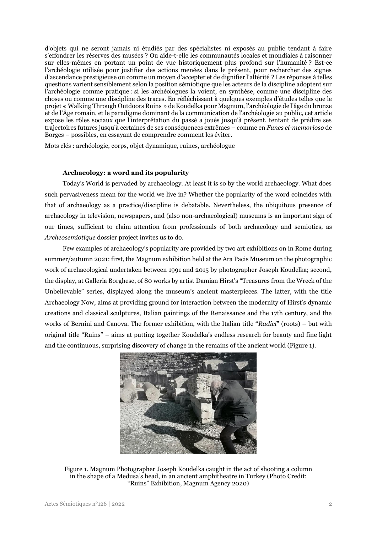d'objets qui ne seront jamais ni étudiés par des spécialistes ni exposés au public tendant à faire s'effondrer les réserves des musées ? Ou aide-t-elle les communautés locales et mondiales à raisonner sur elles-mêmes en portant un point de vue historiquement plus profond sur l'humanité ? Est-ce l'archéologie utilisée pour justifier des actions menées dans le présent, pour rechercher des signes d'ascendance prestigieuse ou comme un moyen d'accepter et de dignifier l'altérité ? Les réponses à telles questions varient sensiblement selon la position sémiotique que les acteurs de la discipline adoptent sur l'archéologie comme pratique : si les archéologues la voient, en synthèse, comme une discipline des choses ou comme une discipline des traces. En réfléchissant à quelques exemples d'études telles que le projet « Walking Through Outdoors Ruins » de Koudelka pour Magnum, l'archéologie de l'âge du bronze et de l'Âge romain, et le paradigme dominant de la communication de l'archéologie au public, cet article expose les rôles sociaux que l'interprétation du passé a joués jusqu'à présent, tentant de prédire ses trajectoires futures jusqu'à certaines de ses conséquences extrêmes – comme en *Funes el-memorioso* de Borges – possibles, en essayant de comprendre comment les éviter.

Mots clés : archéologie, corps, objet dynamique, ruines, archéologue

### **Archaeology: a word and its popularity**

Today's World is pervaded by archaeology. At least it is so by the world archaeology. What does such pervasiveness mean for the world we live in? Whether the popularity of the word coincides with that of archaeology as a practice/discipline is debatable. Nevertheless, the ubiquitous presence of archaeology in television, newspapers, and (also non-archaeological) museums is an important sign of our times, sufficient to claim attention from professionals of both archaeology and semiotics, as *Archeosemiotique* dossier project invites us to do.

Few examples of archaeology's popularity are provided by two art exhibitions on in Rome during summer/autumn 2021: first, the Magnum exhibition held at the Ara Pacis Museum on the photographic work of archaeological undertaken between 1991 and 2015 by photographer Joseph Koudelka; second, the display, at Galleria Borghese, of 80 works by artist Damian Hirst's "Treasures from the Wreck of the Unbelievable" series, displayed along the museum's ancient masterpieces. The latter, with the title Archaeology Now, aims at providing ground for interaction between the modernity of Hirst's dynamic creations and classical sculptures, Italian paintings of the Renaissance and the 17th century, and the works of Bernini and Canova. The former exhibition, with the Italian title "*Radici*" (roots) – but with original title "Ruins" – aims at putting together Koudelka's endless research for beauty and fine light and the continuous, surprising discovery of change in the remains of the ancient world (Figure 1).



Figure 1. Magnum Photographer Joseph Koudelka caught in the act of shooting a column in the shape of a Medusa's head, in an ancient amphitheatre in Turkey (Photo Credit: "Ruins" Exhibition, Magnum Agency 2020)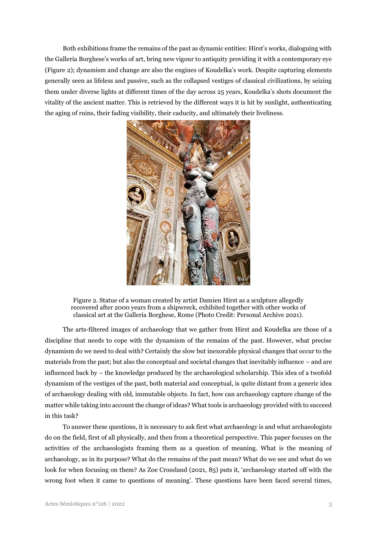Both exhibitions frame the remains of the past as dynamic entities: Hirst's works, dialoguing with the Galleria Borghese's works of art, bring new vigour to antiquity providing it with a contemporary eye (Figure 2); dynamism and change are also the engines of Koudelka's work. Despite capturing elements generally seen as lifeless and passive, such as the collapsed vestiges of classical civilizations, by seizing them under diverse lights at different times of the day across 25 years, Koudelka's shots document the vitality of the ancient matter. This is retrieved by the different ways it is hit by sunlight, authenticating the aging of ruins, their fading visibility, their caducity, and ultimately their liveliness.



Figure 2. Statue of a woman created by artist Damien Hirst as a sculpture allegedly recovered after 2000 years from a shipwreck, exhibited together with other works of classical art at the Galleria Borghese, Rome (Photo Credit: Personal Archive 2021).

The arts-filtered images of archaeology that we gather from Hirst and Koudelka are those of a discipline that needs to cope with the dynamism of the remains of the past. However, what precise dynamism do we need to deal with? Certainly the slow but inexorable physical changes that occur to the materials from the past; but also the conceptual and societal changes that inevitably influence – and are influenced back by – the knowledge produced by the archaeological scholarship. This idea of a twofold dynamism of the vestiges of the past, both material and conceptual, is quite distant from a generic idea of archaeology dealing with old, immutable objects. In fact, how can archaeology capture change of the matter while taking into account the change of ideas? What tools is archaeology provided with to succeed in this task?

To answer these questions, it is necessary to ask first what archaeology is and what archaeologists do on the field, first of all physically, and then from a theoretical perspective. This paper focuses on the activities of the archaeologists framing them as a question of meaning. What is the meaning of archaeology, as in its purpose? What do the remains of the past mean? What do we see and what do we look for when focusing on them? As Zoe Crossland (2021, 85) puts it, 'archaeology started off with the wrong foot when it came to questions of meaning'. These questions have been faced several times,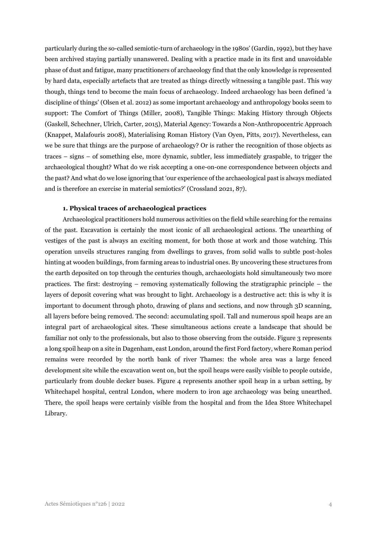particularly during the so-called semiotic-turn of archaeology in the 1980s' (Gardin, 1992), but they have been archived staying partially unanswered. Dealing with a practice made in its first and unavoidable phase of dust and fatigue, many practitioners of archaeology find that the only knowledge is represented by hard data, especially artefacts that are treated as things directly witnessing a tangible past. This way though, things tend to become the main focus of archaeology. Indeed archaeology has been defined 'a discipline of things' (Olsen et al. 2012) as some important archaeology and anthropology books seem to support: The Comfort of Things (Miller, 2008), Tangible Things: Making History through Objects (Gaskell, Schechner, Ulrich, Carter, 2015), Material Agency: Towards a Non-Anthropocentric Approach (Knappet, Malafouris 2008), Materialising Roman History (Van Oyen, Pitts, 2017). Nevertheless, can we be sure that things are the purpose of archaeology? Or is rather the recognition of those objects as traces – signs – of something else, more dynamic, subtler, less immediately graspable, to trigger the archaeological thought? What do we risk accepting a one-on-one correspondence between objects and the past? And what do we lose ignoring that 'our experience of the archaeological past is always mediated and is therefore an exercise in material semiotics?' (Crossland 2021, 87).

## **1. Physical traces of archaeological practices**

Archaeological practitioners hold numerous activities on the field while searching for the remains of the past. Excavation is certainly the most iconic of all archaeological actions. The unearthing of vestiges of the past is always an exciting moment, for both those at work and those watching. This operation unveils structures ranging from dwellings to graves, from solid walls to subtle post-holes hinting at wooden buildings, from farming areas to industrial ones. By uncovering these structures from the earth deposited on top through the centuries though, archaeologists hold simultaneously two more practices. The first: destroying – removing systematically following the stratigraphic principle – the layers of deposit covering what was brought to light. Archaeology is a destructive act: this is why it is important to document through photo, drawing of plans and sections, and now through 3D scanning, all layers before being removed. The second: accumulating spoil. Tall and numerous spoil heaps are an integral part of archaeological sites. These simultaneous actions create a landscape that should be familiar not only to the professionals, but also to those observing from the outside. Figure 3 represents a long spoil heap on a site in Dagenham, east London, around the first Ford factory, where Roman period remains were recorded by the north bank of river Thames: the whole area was a large fenced development site while the excavation went on, but the spoil heaps were easily visible to people outside, particularly from double decker buses. Figure 4 represents another spoil heap in a urban setting, by Whitechapel hospital, central London, where modern to iron age archaeology was being unearthed. There, the spoil heaps were certainly visible from the hospital and from the Idea Store Whitechapel Library.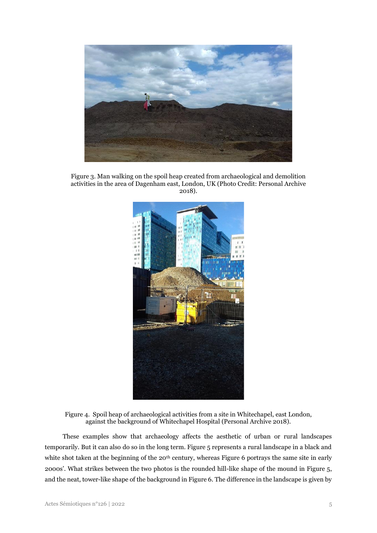

Figure 3. Man walking on the spoil heap created from archaeological and demolition activities in the area of Dagenham east, London, UK (Photo Credit: Personal Archive 2018).



Figure 4. Spoil heap of archaeological activities from a site in Whitechapel, east London, against the background of Whitechapel Hospital (Personal Archive 2018).

These examples show that archaeology affects the aesthetic of urban or rural landscapes temporarily. But it can also do so in the long term. Figure 5 represents a rural landscape in a black and white shot taken at the beginning of the 20<sup>th</sup> century, whereas Figure 6 portrays the same site in early 2000s'. What strikes between the two photos is the rounded hill-like shape of the mound in Figure 5, and the neat, tower-like shape of the background in Figure 6. The difference in the landscape is given by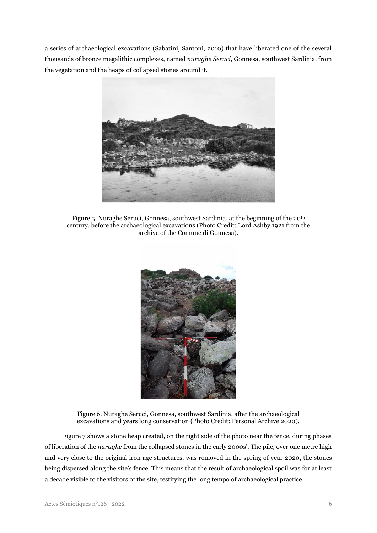a series of archaeological excavations (Sabatini, Santoni, 2010) that have liberated one of the several thousands of bronze megalithic complexes, named *nuraghe Seruci*, Gonnesa, southwest Sardinia, from the vegetation and the heaps of collapsed stones around it.



Figure 5. Nuraghe Seruci, Gonnesa, southwest Sardinia, at the beginning of the 20th century, before the archaeological excavations (Photo Credit: Lord Ashby 1921 from the archive of the Comune di Gonnesa).



Figure 6. Nuraghe Seruci, Gonnesa, southwest Sardinia, after the archaeological excavations and years long conservation (Photo Credit: Personal Archive 2020).

Figure 7 shows a stone heap created, on the right side of the photo near the fence, during phases of liberation of the *nuraghe* from the collapsed stones in the early 2000s'. The pile, over one metre high and very close to the original iron age structures, was removed in the spring of year 2020, the stones being dispersed along the site's fence. This means that the result of archaeological spoil was for at least a decade visible to the visitors of the site, testifying the long tempo of archaeological practice.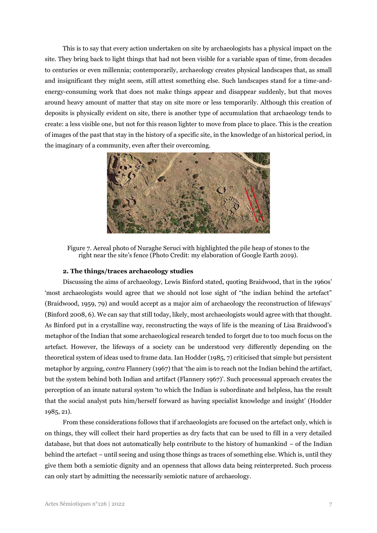This is to say that every action undertaken on site by archaeologists has a physical impact on the site. They bring back to light things that had not been visible for a variable span of time, from decades to centuries or even millennia; contemporarily, archaeology creates physical landscapes that, as small and insignificant they might seem, still attest something else. Such landscapes stand for a time-andenergy-consuming work that does not make things appear and disappear suddenly, but that moves around heavy amount of matter that stay on site more or less temporarily. Although this creation of deposits is physically evident on site, there is another type of accumulation that archaeology tends to create: a less visible one, but not for this reason lighter to move from place to place. This is the creation of images of the past that stay in the history of a specific site, in the knowledge of an historical period, in the imaginary of a community, even after their overcoming.



Figure 7. Aereal photo of Nuraghe Seruci with highlighted the pile heap of stones to the right near the site's fence (Photo Credit: my elaboration of Google Earth 2019).

## **2. The things/traces archaeology studies**

Discussing the aims of archaeology, Lewis Binford stated, quoting Braidwood, that in the 1960s' 'most archaeologists would agree that we should not lose sight of "the indian behind the artefact" (Braidwood, 1959, 79) and would accept as a major aim of archaeology the reconstruction of lifeways' (Binford 2008, 6). We can say that still today, likely, most archaeologists would agree with that thought. As Binford put in a crystalline way, reconstructing the ways of life is the meaning of Lisa Braidwood's metaphor of the Indian that some archaeological research tended to forget due to too much focus on the artefact. However, the lifeways of a society can be understood very differently depending on the theoretical system of ideas used to frame data. Ian Hodder (1985, 7) criticised that simple but persistent metaphor by arguing, *contra* Flannery (1967) that 'the aim is to reach not the Indian behind the artifact, but the system behind both Indian and artifact (Flannery 1967)'. Such processual approach creates the perception of an innate natural system 'to which the Indian is subordinate and helpless, has the result that the social analyst puts him/herself forward as having specialist knowledge and insight' (Hodder 1985, 21).

From these considerations follows that if archaeologists are focused on the artefact only, which is on things, they will collect their hard properties as dry facts that can be used to fill in a very detailed database, but that does not automatically help contribute to the history of humankind – of the Indian behind the artefact – until seeing and using those things as traces of something else. Which is, until they give them both a semiotic dignity and an openness that allows data being reinterpreted. Such process can only start by admitting the necessarily semiotic nature of archaeology.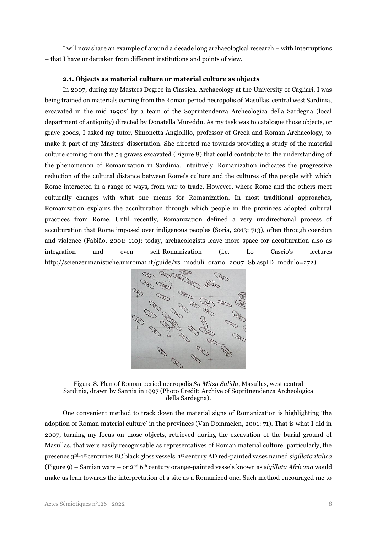I will now share an example of around a decade long archaeological research – with interruptions – that I have undertaken from different institutions and points of view.

#### **2.1. Objects as material culture or material culture as objects**

In 2007, during my Masters Degree in Classical Archaeology at the University of Cagliari, I was being trained on materials coming from the Roman period necropolis of Masullas, central west Sardinia, excavated in the mid 1990s' by a team of the Soprintendenza Archeologica della Sardegna (local department of antiquity) directed by Donatella Mureddu. As my task was to catalogue those objects, or grave goods, I asked my tutor, Simonetta Angiolillo, professor of Greek and Roman Archaeology, to make it part of my Masters' dissertation. She directed me towards providing a study of the material culture coming from the 54 graves excavated (Figure 8) that could contribute to the understanding of the phenomenon of Romanization in Sardinia. Intuitively, Romanization indicates the progressive reduction of the cultural distance between Rome's culture and the cultures of the people with which Rome interacted in a range of ways, from war to trade. However, where Rome and the others meet culturally changes with what one means for Romanization. In most traditional approaches, Romanization explains the acculturation through which people in the provinces adopted cultural practices from Rome. Until recently, Romanization defined a very unidirectional process of acculturation that Rome imposed over indigenous peoples (Soria, 2013: 713), often through coercion and violence (Fabião, 2001: 110); today, archaeologists leave more space for acculturation also as integration and even self-Romanization (i.e. Lo Cascio's lectures [http://scienzeumanistiche.uniroma1.it/guide/vs\\_moduli\\_orario\\_2007\\_8b.aspID\\_modulo=272\)](http://scienzeumanistiche.uniroma1.it/guide/vs_moduli_orario_2007_8b.aspID_modulo=272).



Figure 8. Plan of Roman period necropolis *Sa Mitza Salida*, Masullas, west central Sardinia, drawn by Sannia in 1997 (Photo Credit: Archive of Sopritnendenza Archeologica della Sardegna).

One convenient method to track down the material signs of Romanization is highlighting 'the adoption of Roman material culture' in the provinces (Van Dommelen, 2001: 71). That is what I did in 2007, turning my focus on those objects, retrieved during the excavation of the burial ground of Masullas, that were easily recognisable as representatives of Roman material culture: particularly, the presence 3rd-1 st centuries BC black gloss vessels, 1st century AD red-painted vases named *sigillata italica* (Figure 9) – Samian ware – or 2nd 6th century orange-painted vessels known as *sigillata Africana* would make us lean towards the interpretation of a site as a Romanized one. Such method encouraged me to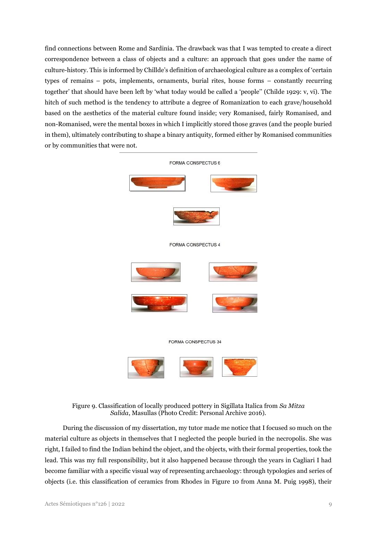find connections between Rome and Sardinia. The drawback was that I was tempted to create a direct correspondence between a class of objects and a culture: an approach that goes under the name of culture-history. This is informed by Chillde's definition of archaeological culture as a complex of 'certain types of remains – pots, implements, ornaments, burial rites, house forms – constantly recurring together' that should have been left by 'what today would be called a 'people'' (Childe 1929: v, vi). The hitch of such method is the tendency to attribute a degree of Romanization to each grave/household based on the aesthetics of the material culture found inside; very Romanised, fairly Romanised, and non-Romanised, were the mental boxes in which I implicitly stored those graves (and the people buried in them), ultimately contributing to shape a binary antiquity, formed either by Romanised communities or by communities that were not.



Figure 9. Classification of locally produced pottery in Sigillata Italica from *Sa Mitza Salida*, Masullas (Photo Credit: Personal Archive 2016).

During the discussion of my dissertation, my tutor made me notice that I focused so much on the material culture as objects in themselves that I neglected the people buried in the necropolis. She was right, I failed to find the Indian behind the object, and the objects, with their formal properties, took the lead. This was my full responsibility, but it also happened because through the years in Cagliari I had become familiar with a specific visual way of representing archaeology: through typologies and series of objects (i.e. this classification of ceramics from Rhodes in Figure 10 from Anna M. Puig 1998), their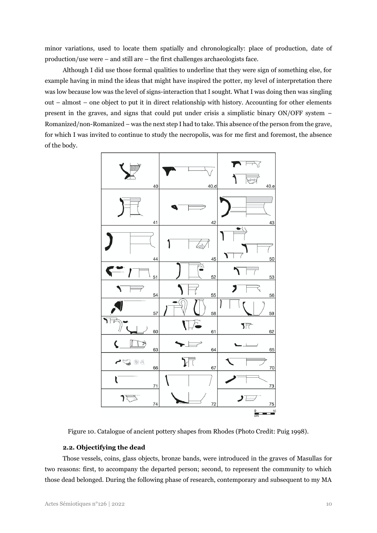minor variations, used to locate them spatially and chronologically: place of production, date of production/use were – and still are – the first challenges archaeologists face.

Although I did use those formal qualities to underline that they were sign of something else, for example having in mind the ideas that might have inspired the potter, my level of interpretation there was low because low was the level of signs-interaction that I sought. What I was doing then was singling out – almost – one object to put it in direct relationship with history. Accounting for other elements present in the graves, and signs that could put under crisis a simplistic binary ON/OFF system – Romanized/non-Romanized – was the next step I had to take. This absence of the person from the grave, for which I was invited to continue to study the necropolis, was for me first and foremost, the absence of the body.



Figure 10. Catalogue of ancient pottery shapes from Rhodes (Photo Credit: Puig 1998).

### **2.2. Objectifying the dead**

Those vessels, coins, glass objects, bronze bands, were introduced in the graves of Masullas for two reasons: first, to accompany the departed person; second, to represent the community to which those dead belonged. During the following phase of research, contemporary and subsequent to my MA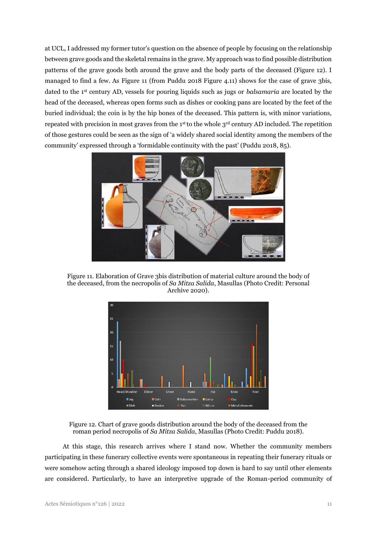at UCL, I addressed my former tutor's question on the absence of people by focusing on the relationship between grave goods and the skeletal remains in the grave. My approach was to find possible distribution patterns of the grave goods both around the grave and the body parts of the deceased (Figure 12). I managed to find a few. As Figure 11 (from Puddu 2018 Figure 4.11) shows for the case of grave 3bis, dated to the 1st century AD, vessels for pouring liquids such as jugs or *balsamaria* are located by the head of the deceased, whereas open forms such as dishes or cooking pans are located by the feet of the buried individual; the coin is by the hip bones of the deceased. This pattern is, with minor variations, repeated with precision in most graves from the 1st to the whole 3rd century AD included. The repetition of those gestures could be seen as the sign of 'a widely shared social identity among the members of the community' expressed through a 'formidable continuity with the past' (Puddu 2018, 85).



Figure 11. Elaboration of Grave 3bis distribution of material culture around the body of the deceased, from the necropolis of *Sa Mitza Salida*, Masullas (Photo Credit: Personal Archive 2020).



Figure 12. Chart of grave goods distribution around the body of the deceased from the roman period necropolis of *Sa Mitza Salida*, Masullas (Photo Credit: Puddu 2018).

At this stage, this research arrives where I stand now. Whether the community members participating in these funerary collective events were spontaneous in repeating their funerary rituals or were somehow acting through a shared ideology imposed top down is hard to say until other elements are considered. Particularly, to have an interpretive upgrade of the Roman-period community of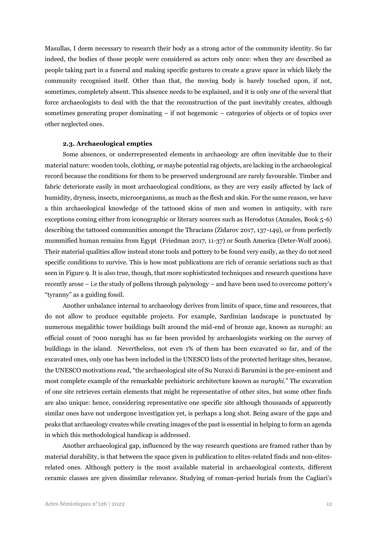Masullas, I deem necessary to research their body as a strong actor of the community identity. So far indeed, the bodies of those people were considered as actors only once: when they are described as people taking part in a funeral and making specific gestures to create a grave space in which likely the community recognised itself. Other than that, the moving body is barely touched upon, if not, sometimes, completely absent. This absence needs to be explained, and it is only one of the several that force archaeologists to deal with the that the reconstruction of the past inevitably creates, although sometimes generating proper dominating – if not hegemonic – categories of objects or of topics over other neglected ones.

### **2.3. Archaeological empties**

Some absences, or underrepresented elements in archaeology are often inevitable due to their material nature: wooden tools, clothing, or maybe potential rag objects, are lacking in the archaeological record because the conditions for them to be preserved underground are rarely favourable. Timber and fabric deteriorate easily in most archaeological conditions, as they are very easily affected by lack of humidity, dryness, insects, microorganisms, as much as the flesh and skin. For the same reason, we have a thin archaeological knowledge of the tattooed skins of men and women in antiquity, with rare exceptions coming either from iconographic or literary sources such as Herodotus (Annales, Book 5-6) describing the tattooed communities amongst the Thracians (Zidarov 2017, 137-149), or from perfectly mummified human remains from Egypt (Friedman 2017, 11-37) or South America (Deter-Wolf 2006). Their material qualities allow instead stone tools and pottery to be found very easily, as they do not need specific conditions to survive. This is how most publications are rich of ceramic seriations such as that seen in Figure 9. It is also true, though, that more sophisticated techniques and research questions have recently arose – i.e the study of pollens through palynology – and have been used to overcome pottery's "tyranny" as a guiding fossil.

Another unbalance internal to archaeology derives from limits of space, time and resources, that do not allow to produce equitable projects. For example, Sardinian landscape is punctuated by numerous megalithic tower buildings built around the mid-end of bronze age, known as *nuraghi*: an official count of 7000 nuraghi has so far been provided by archaeologists working on the survey of buildings in the island. Nevertheless, not even 1% of them has been excavated so far, and of the excavated ones, only one has been included in the UNESCO lists of the protected heritage sites, because, the UNESCO motivations read, "the archaeological site of Su Nuraxi di Barumini is the pre-eminent and most complete example of the remarkable prehistoric architecture known as *nuraghi*." The excavation of one site retrieves certain elements that might be representative of other sites, but some other finds are also unique: hence, considering representative one specific site although thousands of apparently similar ones have not undergone investigation yet, is perhaps a long shot. Being aware of the gaps and peaks that archaeology creates while creating images of the past is essential in helping to form an agenda in which this methodological handicap is addressed.

Another archaeological gap, influenced by the way research questions are framed rather than by material durability, is that between the space given in publication to elites-related finds and non-elitesrelated ones. Although pottery is the most available material in archaeological contexts, different ceramic classes are given dissimilar relevance. Studying of roman-period burials from the Cagliari's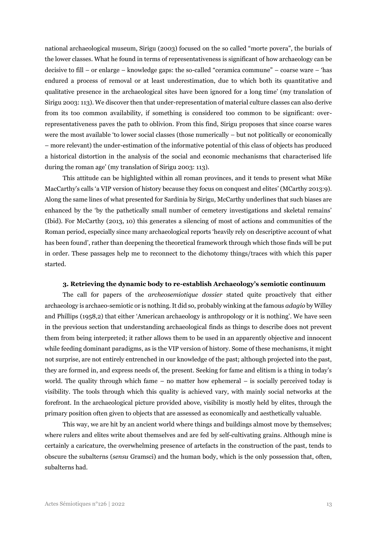national archaeological museum, Sirigu (2003) focused on the so called "morte povera", the burials of the lower classes. What he found in terms of representativeness is significant of how archaeology can be decisive to fill – or enlarge – knowledge gaps: the so-called "ceramica commune" – coarse ware – 'has endured a process of removal or at least underestimation, due to which both its quantitative and qualitative presence in the archaeological sites have been ignored for a long time' (my translation of Sirigu 2003: 113). We discover then that under-representation of material culture classes can also derive from its too common availability, if something is considered too common to be significant: overrepresentativeness paves the path to oblivion. From this find, Sirigu proposes that since coarse wares were the most available 'to lower social classes (those numerically – but not politically or economically – more relevant) the under-estimation of the informative potential of this class of objects has produced a historical distortion in the analysis of the social and economic mechanisms that characterised life during the roman age' (my translation of Sirigu 2003: 113).

This attitude can be highlighted within all roman provinces, and it tends to present what Mike MacCarthy's calls 'a VIP version of history because they focus on conquest and elites' (MCarthy 2013:9). Along the same lines of what presented for Sardinia by Sirigu, McCarthy underlines that such biases are enhanced by the 'by the pathetically small number of cemetery investigations and skeletal remains' (Ibid). For McCarthy (2013, 10) this generates a silencing of most of actions and communities of the Roman period, especially since many archaeological reports 'heavily rely on descriptive account of what has been found', rather than deepening the theoretical framework through which those finds will be put in order. These passages help me to reconnect to the dichotomy things/traces with which this paper started.

## **3. Retrieving the dynamic body to re-establish Archaeology's semiotic continuum**

The call for papers of the *archeosemiotique dossier* stated quite proactively that either archaeology is archaeo-semiotic or is nothing. It did so, probably winking at the famous *adagio* by Willey and Phillips (1958,2) that either 'American archaeology is anthropology or it is nothing'. We have seen in the previous section that understanding archaeological finds as things to describe does not prevent them from being interpreted; it rather allows them to be used in an apparently objective and innocent while feeding dominant paradigms, as is the VIP version of history. Some of these mechanisms, it might not surprise, are not entirely entrenched in our knowledge of the past; although projected into the past, they are formed in, and express needs of, the present. Seeking for fame and elitism is a thing in today's world. The quality through which fame – no matter how ephemeral – is socially perceived today is visibility. The tools through which this quality is achieved vary, with mainly social networks at the forefront. In the archaeological picture provided above, visibility is mostly held by elites, through the primary position often given to objects that are assessed as economically and aesthetically valuable.

This way, we are hit by an ancient world where things and buildings almost move by themselves; where rulers and elites write about themselves and are fed by self-cultivating grains. Although mine is certainly a caricature, the overwhelming presence of artefacts in the construction of the past, tends to obscure the subalterns (*sensu* Gramsci) and the human body, which is the only possession that, often, subalterns had.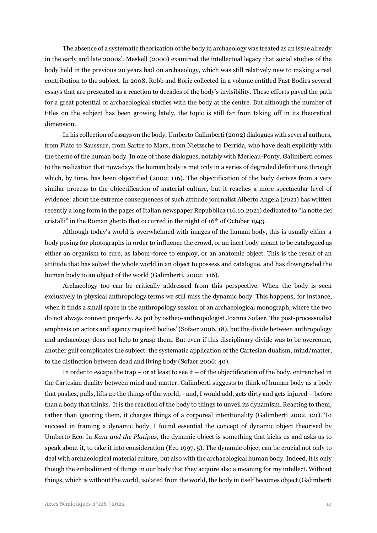The absence of a systematic theorization of the body in archaeology was treated as an issue already in the early and late 2000s'. Meskell (2000) examined the intellectual legacy that social studies of the body held in the previous 20 years had on archaeology, which was still relatively new to making a real contribution to the subject. In 2008, Robb and Boric collected in a volume entitled Past Bodies several essays that are presented as a reaction to decades of the body's invisibility. These efforts paved the path for a great potential of archaeological studies with the body at the centre. But although the number of titles on the subject has been growing lately, the topic is still far from taking off in its theoretical dimension.

In his collection of essays on the body, Umberto Galimberti (2002) dialogues with several authors, from Plato to Saussure, from Sartre to Marx, from Nietzsche to Derrida, who have dealt explicitly with the theme of the human body. In one of those dialogues, notably with Merleau-Ponty, Galimberti comes to the realization that nowadays the human body is met only in a series of degraded definitions through which, by time, has been objectified (2002: 116). The objectification of the body derives from a very similar process to the objectification of material culture, but it reaches a more spectacular level of evidence: about the extreme consequences of such attitude journalist Alberto Angela (2021) has written recently a long form in the pages of Italian newspaper Repubblica (16.10.2021) dedicated to "la notte dei cristalli" in the Roman ghetto that occurred in the night of 16th of October 1943.

Although today's world is overwhelmed with images of the human body, this is usually either a body posing for photographs in order to influence the crowd, or an inert body meant to be catalogued as either an organism to cure, as labour-force to employ, or an anatomic object. This is the result of an attitude that has solved the whole world in an object to possess and catalogue, and has downgraded the human body to an object of the world (Galimberti, 2002: 116).

Archaeology too can be critically addressed from this perspective. When the body is seen exclusively in physical anthropology terms we still miss the dynamic body. This happens, for instance, when it finds a small space in the anthropology session of an archaeological monograph, where the two do not always connect properly. As put by ostheo-anthropologist Joanna Sofaer, 'the post-processualist emphasis on actors and agency required bodies' (Sofaer 2006, 18), but the divide between anthropology and archaeology does not help to grasp them. But even if this disciplinary divide was to be overcome, another gulf complicates the subject: the systematic application of the Cartesian dualism, mind/matter, to the distinction between dead and living body (Sofaer 2006: 40).

In order to escape the trap – or at least to see it – of the objectification of the body, entrenched in the Cartesian duality between mind and matter, Galimberti suggests to think of human body as a body that pushes, pulls, lifts up the things of the world, - and, I would add, gets dirty and gets injured – before than a body that thinks. It is the reaction of the body to things to unveil its dynamism. Reacting to them, rather than ignoring them, it charges things of a corporeal intentionality (Galimberti 2002, 121). To succeed in framing a dynamic body, I found essential the concept of dynamic object theorised by Umberto Eco. In *Kant and the Platipus*, the dynamic object is something that kicks us and asks us to speak about it, to take it into consideration (Eco 1997, 5). The dynamic object can be crucial not only to deal with archaeological material culture, but also with the archaeological human body. Indeed, it is only though the embodiment of things in our body that they acquire also a meaning for my intellect. Without things, which is without the world, isolated from the world, the body in itself becomes object (Galimberti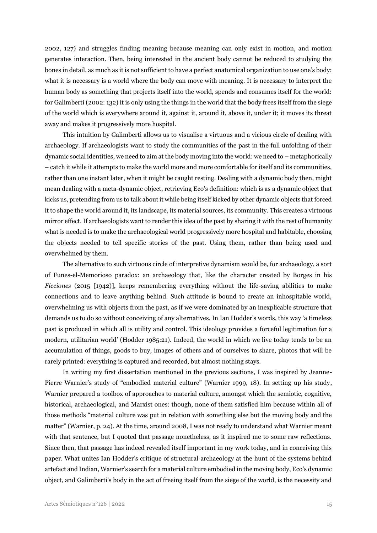2002, 127) and struggles finding meaning because meaning can only exist in motion, and motion generates interaction. Then, being interested in the ancient body cannot be reduced to studying the bones in detail, as much as it is not sufficient to have a perfect anatomical organization to use one's body: what it is necessary is a world where the body can move with meaning. It is necessary to interpret the human body as something that projects itself into the world, spends and consumes itself for the world: for Galimberti (2002: 132) it is only using the things in the world that the body frees itself from the siege of the world which is everywhere around it, against it, around it, above it, under it; it moves its threat away and makes it progressively more hospital.

This intuition by Galimberti allows us to visualise a virtuous and a vicious circle of dealing with archaeology. If archaeologists want to study the communities of the past in the full unfolding of their dynamic social identities, we need to aim at the body moving into the world: we need to – metaphorically – catch it while it attempts to make the world more and more comfortable for itself and its communities, rather than one instant later, when it might be caught resting. Dealing with a dynamic body then, might mean dealing with a meta-dynamic object, retrieving Eco's definition: which is as a dynamic object that kicks us, pretending from us to talk about it while being itself kicked by other dynamic objects that forced it to shape the world around it, its landscape, its material sources, its community. This creates a virtuous mirror effect. If archaeologists want to render this idea of the past by sharing it with the rest of humanity what is needed is to make the archaeological world progressively more hospital and habitable, choosing the objects needed to tell specific stories of the past. Using them, rather than being used and overwhelmed by them.

The alternative to such virtuous circle of interpretive dynamism would be, for archaeology, a sort of Funes-el-Memorioso paradox: an archaeology that, like the character created by Borges in his *Ficciones* (2015 [1942], keeps remembering everything without the life-saving abilities to make connections and to leave anything behind. Such attitude is bound to create an inhospitable world, overwhelming us with objects from the past, as if we were dominated by an inexplicable structure that demands us to do so without conceiving of any alternatives. In Ian Hodder's words, this way 'a timeless past is produced in which all is utility and control. This ideology provides a forceful legitimation for a modern, utilitarian world' (Hodder 1985:21). Indeed, the world in which we live today tends to be an accumulation of things, goods to buy, images of others and of ourselves to share, photos that will be rarely printed: everything is captured and recorded, but almost nothing stays.

In writing my first dissertation mentioned in the previous sections, I was inspired by Jeanne-Pierre Warnier's study of "embodied material culture" (Warnier 1999, 18). In setting up his study, Warnier prepared a toolbox of approaches to material culture, amongst which the semiotic, cognitive, historical, archaeological, and Marxist ones: though, none of them satisfied him because within all of those methods "material culture was put in relation with something else but the moving body and the matter" (Warnier, p. 24). At the time, around 2008, I was not ready to understand what Warnier meant with that sentence, but I quoted that passage nonetheless, as it inspired me to some raw reflections. Since then, that passage has indeed revealed itself important in my work today, and in conceiving this paper. What unites Ian Hodder's critique of structural archaeology at the hunt of the systems behind artefact and Indian, Warnier's search for a material culture embodied in the moving body, Eco's dynamic object, and Galimberti's body in the act of freeing itself from the siege of the world, is the necessity and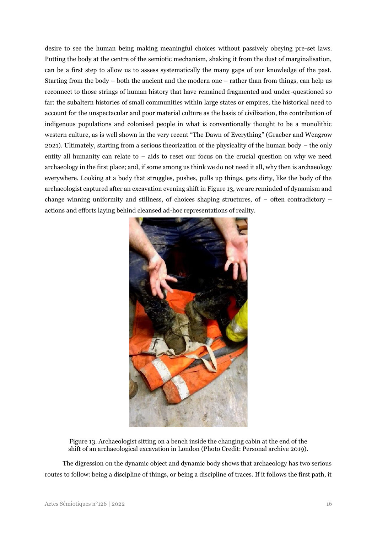desire to see the human being making meaningful choices without passively obeying pre-set laws. Putting the body at the centre of the semiotic mechanism, shaking it from the dust of marginalisation, can be a first step to allow us to assess systematically the many gaps of our knowledge of the past. Starting from the body – both the ancient and the modern one – rather than from things, can help us reconnect to those strings of human history that have remained fragmented and under-questioned so far: the subaltern histories of small communities within large states or empires, the historical need to account for the unspectacular and poor material culture as the basis of civilization, the contribution of indigenous populations and colonised people in what is conventionally thought to be a monolithic western culture, as is well shown in the very recent "The Dawn of Everything" (Graeber and Wengrow 2021). Ultimately, starting from a serious theorization of the physicality of the human body – the only entity all humanity can relate to – aids to reset our focus on the crucial question on why we need archaeology in the first place; and, if some among us think we do not need it all, why then is archaeology everywhere. Looking at a body that struggles, pushes, pulls up things, gets dirty, like the body of the archaeologist captured after an excavation evening shift in Figure 13, we are reminded of dynamism and change winning uniformity and stillness, of choices shaping structures, of  $-$  often contradictory  $$ actions and efforts laying behind cleansed ad-hoc representations of reality.



Figure 13. Archaeologist sitting on a bench inside the changing cabin at the end of the shift of an archaeological excavation in London (Photo Credit: Personal archive 2019).

The digression on the dynamic object and dynamic body shows that archaeology has two serious routes to follow: being a discipline of things, or being a discipline of traces. If it follows the first path, it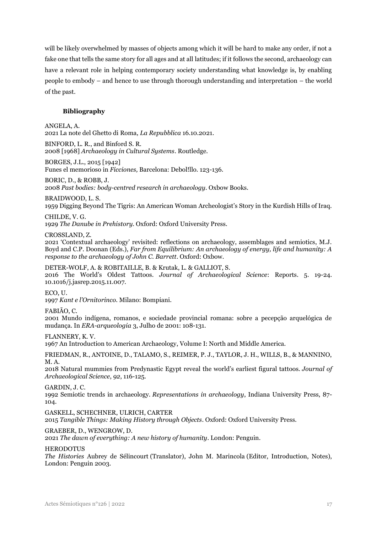will be likely overwhelmed by masses of objects among which it will be hard to make any order, if not a fake one that tells the same story for all ages and at all latitudes; if it follows the second, archaeology can have a relevant role in helping contemporary society understanding what knowledge is, by enabling people to embody – and hence to use through thorough understanding and interpretation – the world of the past.

## **Bibliography**

ANGELA, A.

2021 La note del Ghetto di Roma, *La Repubblica* 16.10.2021.

BINFORD, L. R., and Binford S. R. 2008 [1968] *Archaeology in Cultural Systems*. Routledge.

BORGES, J.L., 2015 [1942]

Funes el memorioso in *Ficciones,* Barcelona: Debol!llo. 123-136.

### BORIC, D., & ROBB, J.

2008 *Past bodies: body-centred research in archaeology*. Oxbow Books.

### BRAIDWOOD, L. S.

1959 Digging Beyond The Tigris: An American Woman Archeologist's Story in the Kurdish Hills of Iraq.

#### CHILDE, V. G.

1929 *The Danube in Prehistory.* Oxford: Oxford University Press.

### CROSSLAND, Z.

2021 'Contextual archaeology' revisited: reflections on archaeology, assemblages and semiotics, M.J. Boyd and C.P. Doonan (Eds.), *Far from Equilibrium: An archaeology of energy, life and humanity: A response to the archaeology of John C. Barrett*. Oxford: Oxbow.

## DETER-WOLF, A. & ROBITAILLE, B. & Krutak, L. & GALLIOT, S.

2016 The World's Oldest Tattoos. *Journal of Archaeological Science*: Reports. 5. 19-24. 10.1016/j.jasrep.2015.11.007.

ECO, U.

1997 *Kant e l'Ornitorinco.* Milano: Bompiani.

### FABIÃO, C.

2001 Mundo indígena, romanos, e sociedade provincial romana: sobre a pecepção arquelógica de mudança. In *ERA-arqueologia* 3, Julho de 2001: 108-131.

# FLANNERY, K. V.

1967 An Introduction to American Archaeology, Volume I: North and Middle America.

FRIEDMAN, R., ANTOINE, D., TALAMO, S., REIMER, P. J., TAYLOR, J. H., WILLS, B., & MANNINO, M. A.

2018 Natural mummies from Predynastic Egypt reveal the world's earliest figural tattoos. *Journal of Archaeological Science*, *92*, 116-125.

### GARDIN, J. C.

1992 Semiotic trends in archaeology. *Representations in archaeology*, Indiana University Press, 87- 104.

GASKELL, SCHECHNER, ULRICH, CARTER

2015 *Tangible Things: Making History through Objects*. Oxford: Oxford University Press.

### GRAEBER, D., WENGROW, D.

2021 *The dawn of everything: A new history of humanity*. London: Penguin.

### **HERODOTUS**

*The Histories* Aubrey de Sélincourt (Translator), John M. Marincola (Editor, Introduction, Notes), London: Penguin 2003.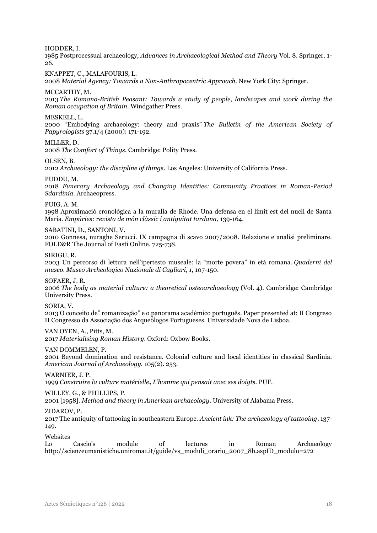HODDER, I.

1985 Postprocessual archaeology, *Advances in Archaeological Method and Theory* Vol. 8. Springer. 1- 26.

KNAPPET, C., MALAFOURIS, L.

2008 *Material Agency: Towards a Non-Anthropocentric Approach.* New York City: Springer.

MCCARTHY, M.

2013 *The Romano-British Peasant: Towards a study of people, landscapes and work during the Roman occupation of Britain*. Windgather Press.

MESKELL, L.

2000 "Embodying archaeology: theory and praxis" *The Bulletin of the American Society of Papyrologists* 37.1/4 (2000): 171-192.

MILLER, D.

2008 *The Comfort of Things*. Cambridge: Polity Press.

OLSEN, B.

2012 *Archaeology: the discipline of things*. Los Angeles: University of California Press.

PUDDU, M.

2018 *Funerary Archaeology and Changing Identities: Community Practices in Roman-Period Sdardinia.* Archaeopress.

PUIG, A. M.

1998 Aproximació cronològica a la muralla de Rhode. Una defensa en el límit est del nucli de Santa Maria. *Empúries: revista de món clàssic i antiguitat tardana*, 139-164.

SABATINI, D., SANTONI, V.

2010 Gonnesa, nuraghe Serucci. IX campagna di scavo 2007/2008. Relazione e analisi preliminare. FOLD&R The Journal of Fasti Online. 725-738.

SIRIGU, R.

2003 Un percorso di lettura nell'ipertesto museale: la "morte povera" in età romana. *Quaderni del museo. Museo Archeologico Nazionale di Cagliari*, *1*, 107-150.

SOFAER, J. R.

2006 *The body as material culture: a theoretical osteoarchaeology* (Vol. 4). Cambridge: Cambridge University Press.

SORIA, V.

2013 O conceito de" romanização" e o panorama académico português. Paper presented at: II Congreso II Congresso da Associação dos Arqueólogos Portugueses. Universidade Nova de Lisboa.

VAN OYEN, A., Pitts, M.

2017 *Materialising Roman History*. Oxford: Oxbow Books.

VAN DOMMELEN, P.

2001 Beyond domination and resistance. Colonial culture and local identities in classical Sardinia. *American Journal of Archaeology.* 105(2). 253.

WARNIER, J. P.

1999 *Construire la culture matérielle, L'homme qui pensait avec ses doigts.* PUF.

WILLEY, G., & PHILLIPS, P.

2001 [1958]. *Method and theory in American archaeology*. University of Alabama Press.

ZIDAROV, P.

2017 The antiquity of tattooing in southeastern Europe. *Ancient ink: The archaeology of tattooing*, 137- 149.

Websites

Lo Cascio's module of lectures in Roman Archaeology [http://scienzeumanistiche.uniroma1.it/guide/vs\\_moduli\\_orario\\_2007\\_8b.aspID\\_modulo=272](http://scienzeumanistiche.uniroma1.it/guide/vs_moduli_orario_2007_8b.aspID_modulo=272)